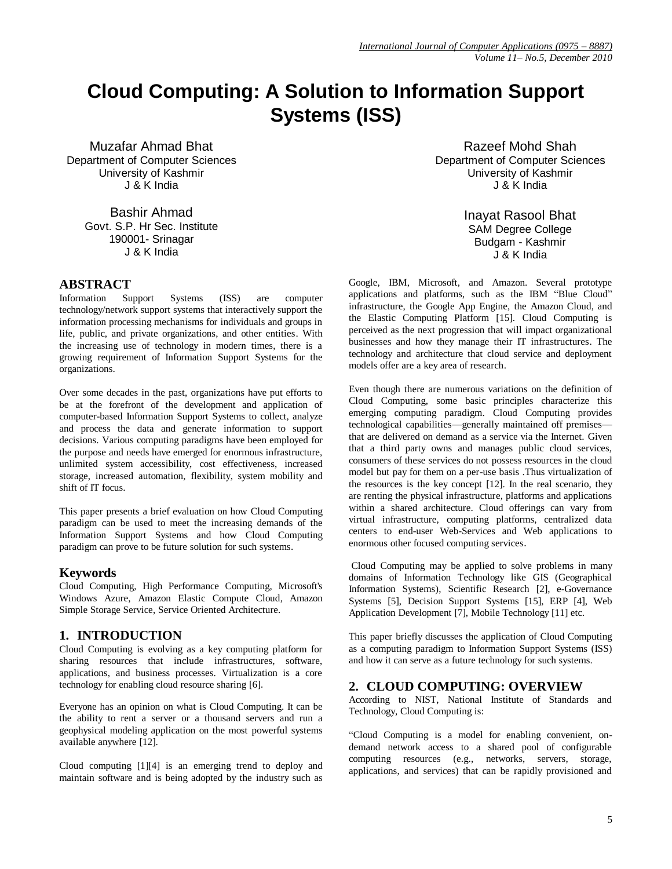# **Cloud Computing: A Solution to Information Support Systems (ISS)**

Muzafar Ahmad Bhat Department of Computer Sciences University of Kashmir J & K India

> Bashir Ahmad Govt. S.P. Hr Sec. Institute 190001- Srinagar J & K India

## **ABSTRACT**

Information Support Systems (ISS) are computer technology/network support systems that interactively support the information processing mechanisms for individuals and groups in life, public, and private organizations, and other entities. With the increasing use of technology in modern times, there is a growing requirement of Information Support Systems for the organizations.

Over some decades in the past, organizations have put efforts to be at the forefront of the development and application of computer-based Information Support Systems to collect, analyze and process the data and generate information to support decisions. Various computing paradigms have been employed for the purpose and needs have emerged for enormous infrastructure, unlimited system accessibility, cost effectiveness, increased storage, increased automation, flexibility, system mobility and shift of IT focus.

This paper presents a brief evaluation on how Cloud Computing paradigm can be used to meet the increasing demands of the Information Support Systems and how Cloud Computing paradigm can prove to be future solution for such systems.

#### **Keywords**

Cloud Computing, High Performance Computing, Microsoft's Windows Azure, Amazon Elastic Compute Cloud, Amazon Simple Storage Service, Service Oriented Architecture.

#### **1. INTRODUCTION**

Cloud Computing is evolving as a key computing platform for sharing resources that include infrastructures, software, applications, and business processes. Virtualization is a core technology for enabling cloud resource sharing [6].

Everyone has an opinion on what is Cloud Computing. It can be the ability to rent a server or a thousand servers and run a geophysical modeling application on the most powerful systems available anywhere [12].

Cloud computing [1][4] is an emerging trend to deploy and maintain software and is being adopted by the industry such as

Razeef Mohd Shah Department of Computer Sciences University of Kashmir J & K India

> Inayat Rasool Bhat SAM Degree College Budgam - Kashmir J & K India

Google, IBM, Microsoft, and Amazon. Several prototype applications and platforms, such as the IBM "Blue Cloud" infrastructure, the Google App Engine, the Amazon Cloud, and the Elastic Computing Platform [15]. Cloud Computing is perceived as the next progression that will impact organizational businesses and how they manage their IT infrastructures. The technology and architecture that cloud service and deployment models offer are a key area of research.

Even though there are numerous variations on the definition of Cloud Computing, some basic principles characterize this emerging computing paradigm. Cloud Computing provides technological capabilities—generally maintained off premises that are delivered on demand as a service via the Internet. Given that a third party owns and manages public cloud services, consumers of these services do not possess resources in the cloud model but pay for them on a per-use basis .Thus virtualization of the resources is the key concept [12]. In the real scenario, they are renting the physical infrastructure, platforms and applications within a shared architecture. Cloud offerings can vary from virtual infrastructure, computing platforms, centralized data centers to end-user Web-Services and Web applications to enormous other focused computing services.

Cloud Computing may be applied to solve problems in many domains of Information Technology like GIS (Geographical Information Systems), Scientific Research [2], e-Governance Systems [5], Decision Support Systems [15], ERP [4], Web Application Development [7], Mobile Technology [11] etc.

This paper briefly discusses the application of Cloud Computing as a computing paradigm to Information Support Systems (ISS) and how it can serve as a future technology for such systems.

#### **2. CLOUD COMPUTING: OVERVIEW**

According to NIST, National Institute of Standards and Technology, Cloud Computing is:

―Cloud Computing is a model for enabling convenient, ondemand network access to a shared pool of configurable computing resources (e.g., networks, servers, storage, applications, and services) that can be rapidly provisioned and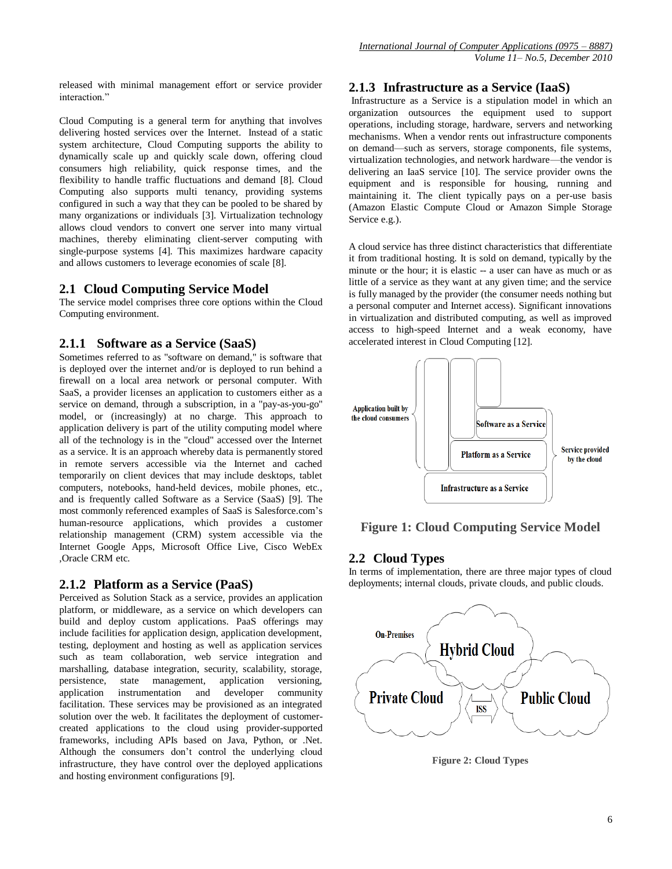released with minimal management effort or service provider interaction."

Cloud Computing is a general term for anything that involves delivering hosted services over the Internet. Instead of a static system architecture, Cloud Computing supports the ability to dynamically scale up and quickly scale down, offering cloud consumers high reliability, quick response times, and the flexibility to handle traffic fluctuations and demand [8]. Cloud Computing also supports multi tenancy, providing systems configured in such a way that they can be pooled to be shared by many organizations or individuals [3]. Virtualization technology allows cloud vendors to convert one server into many virtual machines, thereby eliminating client-server computing with single-purpose systems [4]. This maximizes hardware capacity and allows customers to leverage economies of scale [8].

## **2.1 Cloud Computing Service Model**

The service model comprises three core options within the Cloud Computing environment.

## **2.1.1 Software as a Service (SaaS)**

Sometimes referred to as "software on demand," is software that is deployed over the internet and/or is deployed to run behind a firewall on a local area network or personal computer. With SaaS, a provider licenses an application to customers either as a service on demand, through a subscription, in a "pay-as-you-go" model, or (increasingly) at no charge. This approach to application delivery is part of the utility computing model where all of the technology is in the "cloud" accessed over the Internet as a service. It is an approach whereby data is permanently stored in remote servers accessible via the Internet and cached temporarily on client devices that may include desktops, tablet computers, notebooks, hand-held devices, mobile phones, etc., and is frequently called Software as a Service (SaaS) [9]. The most commonly referenced examples of SaaS is Salesforce.com's human-resource applications, which provides a customer relationship management (CRM) system accessible via the Internet Google Apps, Microsoft Office Live, Cisco WebEx ,Oracle CRM etc.

## **2.1.2 Platform as a Service (PaaS)**

Perceived as Solution Stack as a service, provides an application platform, or middleware, as a service on which developers can build and deploy custom applications. PaaS offerings may include facilities for application design, application development, testing, deployment and hosting as well as application services such as team collaboration, web service integration and marshalling, database integration, security, scalability, storage, persistence, state management, application versioning, application instrumentation and developer community facilitation. These services may be provisioned as an integrated solution over the web. It facilitates the deployment of customercreated applications to the cloud using provider-supported frameworks, including APIs based on Java, Python, or .Net. Although the consumers don't control the underlying cloud infrastructure, they have control over the deployed applications and hosting environment configurations [9].

## **2.1.3 Infrastructure as a Service (IaaS)**

Infrastructure as a Service is a stipulation model in which an organization outsources the equipment used to support operations, including storage, hardware, servers and networking mechanisms. When a vendor rents out infrastructure components on demand—such as servers, storage components, file systems, virtualization technologies, and network hardware—the vendor is delivering an IaaS service [10]. The service provider owns the equipment and is responsible for housing, running and maintaining it. The client typically pays on a per-use basis (Amazon Elastic Compute Cloud or Amazon Simple Storage Service e.g.).

A cloud service has three distinct characteristics that differentiate it from traditional hosting. It is sold on demand, typically by the minute or the hour; it is elastic -- a user can have as much or as little of a service as they want at any given time; and the service is fully managed by the provider (the consumer needs nothing but a personal computer and Internet access). Significant innovations in virtualization and distributed computing, as well as improved access to high-speed Internet and a weak economy, have accelerated interest in Cloud Computing [12].



# **Figure 1: Cloud Computing Service Model**

# **2.2 Cloud Types**

In terms of implementation, there are three major types of cloud deployments; internal clouds, private clouds, and public clouds.



**Figure 2: Cloud Types**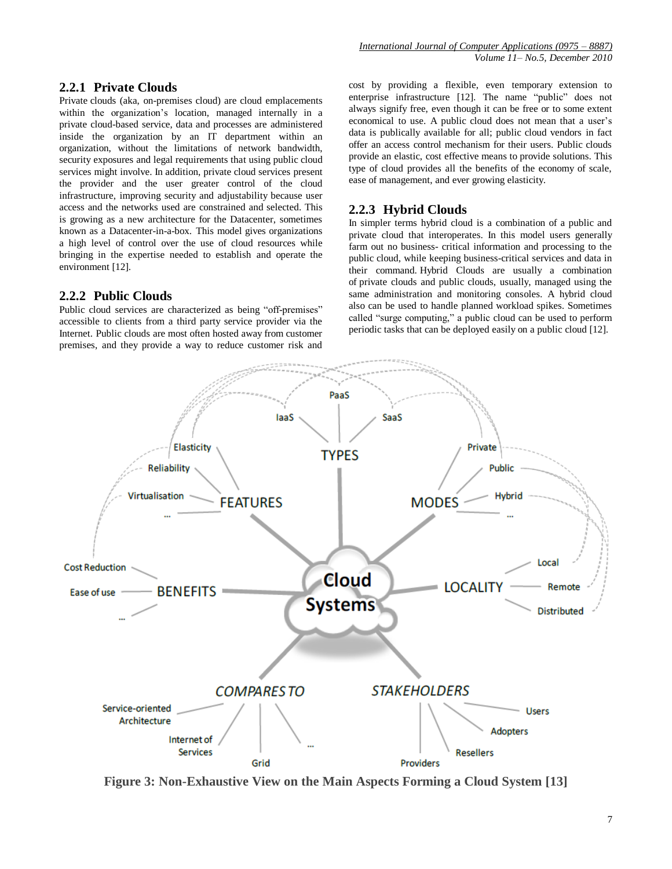#### **2.2.1 Private Clouds**

Private clouds (aka, on-premises cloud) are cloud emplacements within the organization's location, managed internally in a private cloud-based service, data and processes are administered inside the organization by an IT department within an organization, without the limitations of network bandwidth, security exposures and legal requirements that using public cloud services might involve. In addition, private cloud services present the provider and the user greater control of the cloud infrastructure, improving security and adjustability because user access and the networks used are constrained and selected. This is growing as a new architecture for the Datacenter, sometimes known as a Datacenter-in-a-box. This model gives organizations a high level of control over the use of cloud resources while bringing in the expertise needed to establish and operate the environment [12].

#### **2.2.2 Public Clouds**

Public cloud services are characterized as being "off-premises" accessible to clients from a third party service provider via the Internet. Public clouds are most often hosted away from customer premises, and they provide a way to reduce customer risk and cost by providing a flexible, even temporary extension to enterprise infrastructure [12]. The name "public" does not always signify free, even though it can be free or to some extent economical to use. A public cloud does not mean that a user's data is publically available for all; public cloud vendors in fact offer an access control mechanism for their users. Public clouds provide an elastic, cost effective means to provide solutions. This type of cloud provides all the benefits of the economy of scale, ease of management, and ever growing elasticity.

#### **2.2.3 Hybrid Clouds**

In simpler terms hybrid cloud is a combination of a public and private cloud that interoperates. In this model users generally farm out no business- critical information and processing to the public cloud, while keeping business-critical services and data in their command. Hybrid Clouds are usually a combination of private clouds and public clouds, usually, managed using the same administration and monitoring consoles. A hybrid cloud also can be used to handle planned workload spikes. Sometimes called "surge computing," a public cloud can be used to perform periodic tasks that can be deployed easily on a public cloud [12].



**Figure 3: Non-Exhaustive View on the Main Aspects Forming a Cloud System [13]**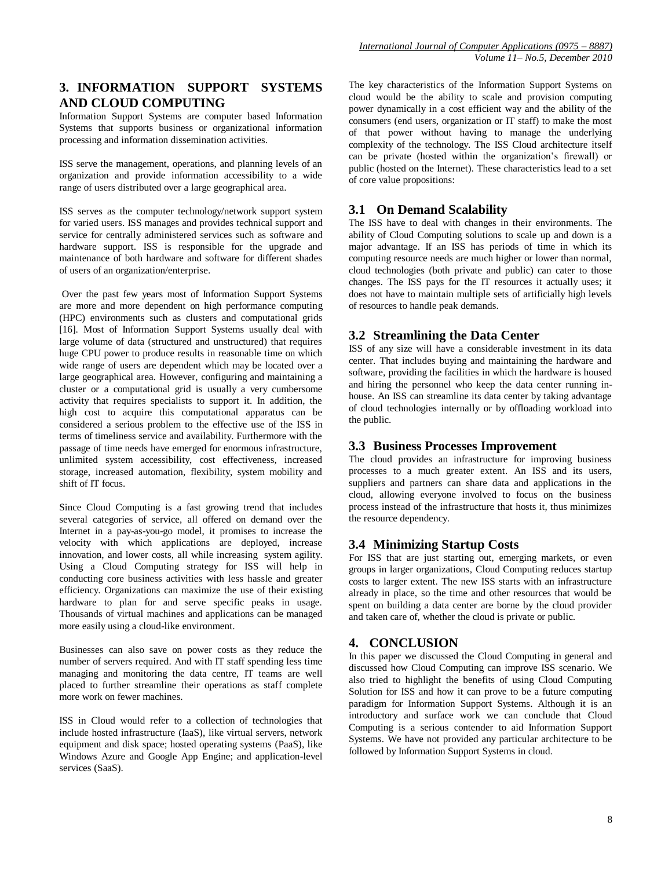*International Journal of Computer Applications (0975 – 8887) Volume 11– No.5, December 2010*

## **3. INFORMATION SUPPORT SYSTEMS AND CLOUD COMPUTING**

Information Support Systems are computer based Information Systems that supports business or organizational information processing and information dissemination activities.

ISS serve the management, operations, and planning levels of an organization and provide information accessibility to a wide range of users distributed over a large geographical area.

ISS serves as the computer technology/network support system for varied users. ISS manages and provides technical support and service for centrally administered services such as software and hardware support. ISS is responsible for the upgrade and maintenance of both hardware and software for different shades of users of an organization/enterprise.

Over the past few years most of Information Support Systems are more and more dependent on high performance computing (HPC) environments such as clusters and computational grids [16]. Most of Information Support Systems usually deal with large volume of data (structured and unstructured) that requires huge CPU power to produce results in reasonable time on which wide range of users are dependent which may be located over a large geographical area. However, configuring and maintaining a cluster or a computational grid is usually a very cumbersome activity that requires specialists to support it. In addition, the high cost to acquire this computational apparatus can be considered a serious problem to the effective use of the ISS in terms of timeliness service and availability. Furthermore with the passage of time needs have emerged for enormous infrastructure, unlimited system accessibility, cost effectiveness, increased storage, increased automation, flexibility, system mobility and shift of IT focus.

Since Cloud Computing is a fast growing trend that includes several categories of service, all offered on demand over the Internet in a pay-as-you-go model, it promises to increase the velocity with which applications are deployed, increase innovation, and lower costs, all while increasing system agility. Using a Cloud Computing strategy for ISS will help in conducting core business activities with less hassle and greater efficiency. Organizations can maximize the use of their existing hardware to plan for and serve specific peaks in usage. Thousands of virtual machines and applications can be managed more easily using a cloud-like environment.

Businesses can also save on power costs as they reduce the number of servers required. And with IT staff spending less time managing and monitoring the data centre, IT teams are well placed to further streamline their operations as staff complete more work on fewer machines.

ISS in Cloud would refer to a collection of technologies that include hosted infrastructure (IaaS), like virtual servers, network equipment and disk space; hosted operating systems (PaaS), like Windows Azure and Google App Engine; and application-level services (SaaS).

The key characteristics of the Information Support Systems on cloud would be the ability to scale and provision computing power dynamically in a cost efficient way and the ability of the consumers (end users, organization or IT staff) to make the most of that power without having to manage the underlying complexity of the technology. The ISS Cloud architecture itself can be private (hosted within the organization's firewall) or public (hosted on the Internet). These characteristics lead to a set of core value propositions:

#### **3.1 On Demand Scalability**

The ISS have to deal with changes in their environments. The ability of Cloud Computing solutions to scale up and down is a major advantage. If an ISS has periods of time in which its computing resource needs are much higher or lower than normal, cloud technologies (both private and public) can cater to those changes. The ISS pays for the IT resources it actually uses; it does not have to maintain multiple sets of artificially high levels of resources to handle peak demands.

#### **3.2 Streamlining the Data Center**

ISS of any size will have a considerable investment in its data center. That includes buying and maintaining the hardware and software, providing the facilities in which the hardware is housed and hiring the personnel who keep the data center running inhouse. An ISS can streamline its data center by taking advantage of cloud technologies internally or by offloading workload into the public.

#### **3.3 Business Processes Improvement**

The cloud provides an infrastructure for improving business processes to a much greater extent. An ISS and its users, suppliers and partners can share data and applications in the cloud, allowing everyone involved to focus on the business process instead of the infrastructure that hosts it, thus minimizes the resource dependency.

#### **3.4 Minimizing Startup Costs**

For ISS that are just starting out, emerging markets, or even groups in larger organizations, Cloud Computing reduces startup costs to larger extent. The new ISS starts with an infrastructure already in place, so the time and other resources that would be spent on building a data center are borne by the cloud provider and taken care of, whether the cloud is private or public.

#### **4. CONCLUSION**

In this paper we discussed the Cloud Computing in general and discussed how Cloud Computing can improve ISS scenario. We also tried to highlight the benefits of using Cloud Computing Solution for ISS and how it can prove to be a future computing paradigm for Information Support Systems. Although it is an introductory and surface work we can conclude that Cloud Computing is a serious contender to aid Information Support Systems. We have not provided any particular architecture to be followed by Information Support Systems in cloud.